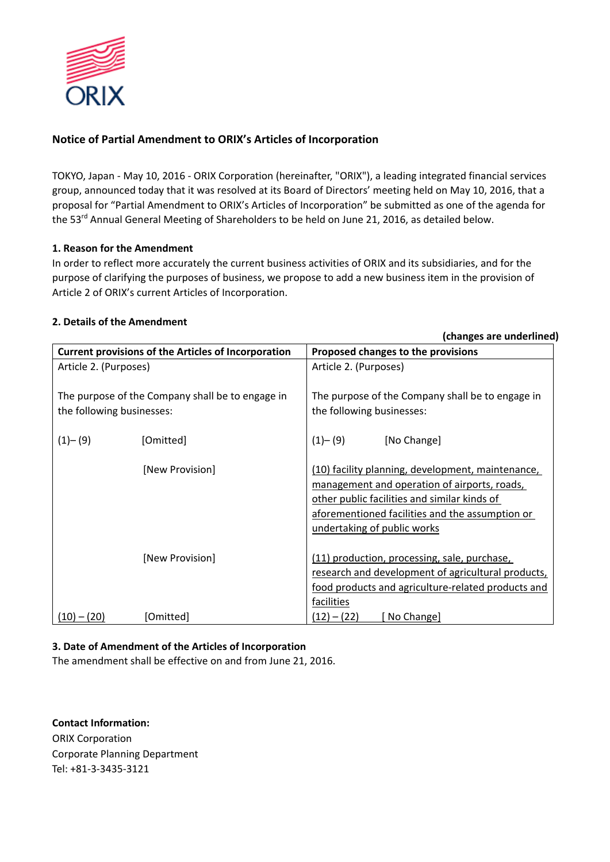

# **Notice of Partial Amendment to ORIX's Articles of Incorporation**

TOKYO, Japan - May 10, 2016 - ORIX Corporation (hereinafter, "ORIX"), a leading integrated financial services group, announced today that it was resolved at its Board of Directors' meeting held on May 10, 2016, that a proposal for "Partial Amendment to ORIX's Articles of Incorporation" be submitted as one of the agenda for the 53<sup>rd</sup> Annual General Meeting of Shareholders to be held on June 21, 2016, as detailed below.

## **1. Reason for the Amendment**

In order to reflect more accurately the current business activities of ORIX and its subsidiaries, and for the purpose of clarifying the purposes of business, we propose to add a new business item in the provision of Article 2 of ORIX's current Articles of Incorporation.

## **2. Details of the Amendment**

|                                                                               |                 | (changes are underlined)                                                                                                                                                                                                            |
|-------------------------------------------------------------------------------|-----------------|-------------------------------------------------------------------------------------------------------------------------------------------------------------------------------------------------------------------------------------|
| <b>Current provisions of the Articles of Incorporation</b>                    |                 | Proposed changes to the provisions                                                                                                                                                                                                  |
| Article 2. (Purposes)                                                         |                 | Article 2. (Purposes)                                                                                                                                                                                                               |
| The purpose of the Company shall be to engage in<br>the following businesses: |                 | The purpose of the Company shall be to engage in<br>the following businesses:                                                                                                                                                       |
| $(1) - (9)$                                                                   | [Omitted]       | $(1) - (9)$<br>[No Change]                                                                                                                                                                                                          |
|                                                                               | [New Provision] | (10) facility planning, development, maintenance,<br>management and operation of airports, roads,<br>other public facilities and similar kinds of<br>aforementioned facilities and the assumption or<br>undertaking of public works |
|                                                                               | [New Provision] | (11) production, processing, sale, purchase,<br>research and development of agricultural products,<br>food products and agriculture-related products and<br>facilities                                                              |
| $(10) - (20)$                                                                 | [Omitted]       | No Change]<br>$(12) - (22)$                                                                                                                                                                                                         |

# **3. Date of Amendment of the Articles of Incorporation**

The amendment shall be effective on and from June 21, 2016.

**Contact Information:**  ORIX Corporation Corporate Planning Department Tel: +81-3-3435-3121